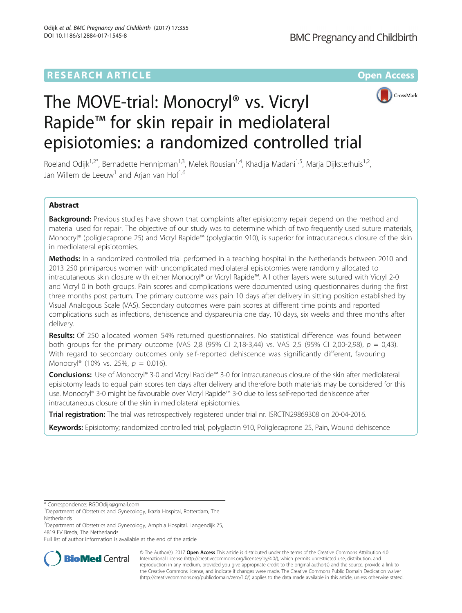## **RESEARCH ARTICLE External Structure Community Community Community Community Community Community Community Community**



# The MOVE-trial: Monocryl® vs. Vicryl Rapide™ for skin repair in mediolateral episiotomies: a randomized controlled trial

Roeland Odijk<sup>1,2\*</sup>, Bernadette Hennipman<sup>1,3</sup>, Melek Rousian<sup>1,4</sup>, Khadija Madani<sup>1,5</sup>, Marja Dijksterhuis<sup>1,2</sup>, Jan Willem de Leeuw<sup>1</sup> and Arjan van Hof<sup>1,6</sup>

## Abstract

Background: Previous studies have shown that complaints after episiotomy repair depend on the method and material used for repair. The objective of our study was to determine which of two frequently used suture materials, Monocryl® (poliglecaprone 25) and Vicryl Rapide™ (polyglactin 910), is superior for intracutaneous closure of the skin in mediolateral episiotomies.

Methods: In a randomized controlled trial performed in a teaching hospital in the Netherlands between 2010 and 2013 250 primiparous women with uncomplicated mediolateral episiotomies were randomly allocated to intracutaneous skin closure with either Monocryl® or Vicryl Rapide™. All other layers were sutured with Vicryl 2-0 and Vicryl 0 in both groups. Pain scores and complications were documented using questionnaires during the first three months post partum. The primary outcome was pain 10 days after delivery in sitting position established by Visual Analogous Scale (VAS). Secondary outcomes were pain scores at different time points and reported complications such as infections, dehiscence and dyspareunia one day, 10 days, six weeks and three months after delivery.

Results: Of 250 allocated women 54% returned questionnaires. No statistical difference was found between both groups for the primary outcome (VAS 2,8 (95% CI 2,18-3,44) vs. VAS 2,5 (95% CI 2,00-2,98),  $p = 0.43$ ). With regard to secondary outcomes only self-reported dehiscence was significantly different, favouring Monocryl® (10% vs. 25%,  $p = 0.016$ ).

Conclusions: Use of Monocryl® 3-0 and Vicryl Rapide™ 3-0 for intracutaneous closure of the skin after mediolateral episiotomy leads to equal pain scores ten days after delivery and therefore both materials may be considered for this use. Monocryl® 3-0 might be favourable over Vicryl Rapide™ 3-0 due to less self-reported dehiscence after intracutaneous closure of the skin in mediolateral episiotomies.

Trial registration: The trial was retrospectively registered under trial nr. [ISRCTN29869308](http://www.isrctn.com) on 20-04-2016.

Keywords: Episiotomy; randomized controlled trial; polyglactin 910, Poliglecaprone 25, Pain, Wound dehiscence

<sup>2</sup>Department of Obstetrics and Gynecology, Amphia Hospital, Langendijk 75, 4819 EV Breda, The Netherlands

Full list of author information is available at the end of the article



© The Author(s). 2017 **Open Access** This article is distributed under the terms of the Creative Commons Attribution 4.0 International License [\(http://creativecommons.org/licenses/by/4.0/](http://creativecommons.org/licenses/by/4.0/)), which permits unrestricted use, distribution, and reproduction in any medium, provided you give appropriate credit to the original author(s) and the source, provide a link to the Creative Commons license, and indicate if changes were made. The Creative Commons Public Domain Dedication waiver [\(http://creativecommons.org/publicdomain/zero/1.0/](http://creativecommons.org/publicdomain/zero/1.0/)) applies to the data made available in this article, unless otherwise stated.

<sup>\*</sup> Correspondence: [RGDOdijk@gmail.com](mailto:RGDOdijk@gmail.com) <sup>1</sup>

<sup>&</sup>lt;sup>1</sup>Department of Obstetrics and Gynecology, Ikazia Hospital, Rotterdam, The Netherlands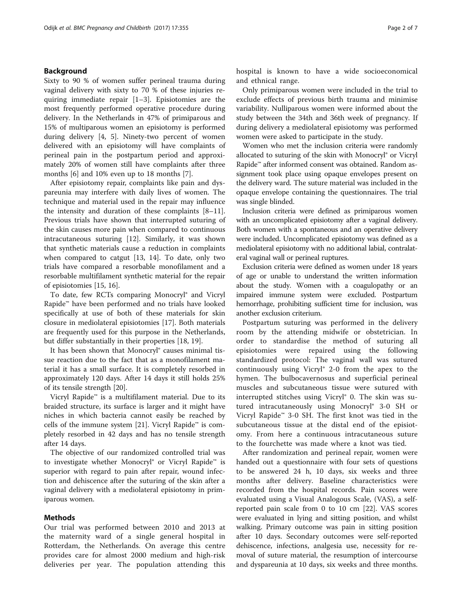## Background

Sixty to 90 % of women suffer perineal trauma during vaginal delivery with sixty to 70 % of these injuries requiring immediate repair [\[1](#page-6-0)–[3\]](#page-6-0). Episiotomies are the most frequently performed operative procedure during delivery. In the Netherlands in 47% of primiparous and 15% of multiparous women an episiotomy is performed during delivery [[4, 5\]](#page-6-0). Ninety-two percent of women delivered with an episiotomy will have complaints of perineal pain in the postpartum period and approximately 20% of women still have complaints after three months [[6\]](#page-6-0) and 10% even up to 18 months [[7\]](#page-6-0).

After episiotomy repair, complaints like pain and dyspareunia may interfere with daily lives of women. The technique and material used in the repair may influence the intensity and duration of these complaints [[8](#page-6-0)–[11](#page-6-0)]. Previous trials have shown that interrupted suturing of the skin causes more pain when compared to continuous intracutaneous suturing [\[12](#page-6-0)]. Similarly, it was shown that synthetic materials cause a reduction in complaints when compared to catgut [\[13](#page-6-0), [14](#page-6-0)]. To date, only two trials have compared a resorbable monofilament and a resorbable multifilament synthetic material for the repair of episiotomies [[15](#page-6-0), [16](#page-6-0)].

To date, few RCTs comparing Monocryl® and Vicryl Rapide™ have been performed and no trials have looked specifically at use of both of these materials for skin closure in mediolateral episiotomies [\[17\]](#page-6-0). Both materials are frequently used for this purpose in the Netherlands, but differ substantially in their properties [[18](#page-6-0), [19](#page-6-0)].

It has been shown that Monocryl® causes minimal tissue reaction due to the fact that as a monofilament material it has a small surface. It is completely resorbed in approximately 120 days. After 14 days it still holds 25% of its tensile strength [\[20\]](#page-6-0).

Vicryl Rapide™ is a multifilament material. Due to its braided structure, its surface is larger and it might have niches in which bacteria cannot easily be reached by cells of the immune system [\[21](#page-6-0)]. Vicryl Rapide™ is completely resorbed in 42 days and has no tensile strength after 14 days.

The objective of our randomized controlled trial was to investigate whether Monocryl® or Vicryl Rapide™ is superior with regard to pain after repair, wound infection and dehiscence after the suturing of the skin after a vaginal delivery with a mediolateral episiotomy in primiparous women.

#### Methods

Our trial was performed between 2010 and 2013 at the maternity ward of a single general hospital in Rotterdam, the Netherlands. On average this centre provides care for almost 2000 medium and high-risk deliveries per year. The population attending this hospital is known to have a wide socioeconomical and ethnical range.

Only primiparous women were included in the trial to exclude effects of previous birth trauma and minimise variability. Nulliparous women were informed about the study between the 34th and 36th week of pregnancy. If during delivery a mediolateral episiotomy was performed women were asked to participate in the study.

Women who met the inclusion criteria were randomly allocated to suturing of the skin with Monocryl® or Vicryl Rapide™ after informed consent was obtained. Random assignment took place using opaque envelopes present on the delivery ward. The suture material was included in the opaque envelope containing the questionnaires. The trial was single blinded.

Inclusion criteria were defined as primiparous women with an uncomplicated episiotomy after a vaginal delivery. Both women with a spontaneous and an operative delivery were included. Uncomplicated episiotomy was defined as a mediolateral episiotomy with no additional labial, contralateral vaginal wall or perineal ruptures.

Exclusion criteria were defined as women under 18 years of age or unable to understand the written information about the study. Women with a coagulopathy or an impaired immune system were excluded. Postpartum hemorrhage, prohibiting sufficient time for inclusion, was another exclusion criterium.

Postpartum suturing was performed in the delivery room by the attending midwife or obstetrician. In order to standardise the method of suturing all episiotomies were repaired using the following standardized protocol: The vaginal wall was sutured continuously using Vicryl® 2-0 from the apex to the hymen. The bulbocavernosus and superficial perineal muscles and subcutaneous tissue were sutured with interrupted stitches using Vicryl® 0. The skin was sutured intracutaneously using Monocryl® 3-0 SH or Vicryl Rapide™ 3-0 SH. The first knot was tied in the subcutaneous tissue at the distal end of the episiotomy. From here a continuous intracutaneous suture to the fourchette was made where a knot was tied.

After randomization and perineal repair, women were handed out a questionnaire with four sets of questions to be answered 24 h, 10 days, six weeks and three months after delivery. Baseline characteristics were recorded from the hospital records. Pain scores were evaluated using a Visual Analogous Scale, (VAS), a selfreported pain scale from 0 to 10 cm [\[22](#page-6-0)]. VAS scores were evaluated in lying and sitting position, and whilst walking. Primary outcome was pain in sitting position after 10 days. Secondary outcomes were self-reported dehiscence, infections, analgesia use, necessity for removal of suture material, the resumption of intercourse and dyspareunia at 10 days, six weeks and three months.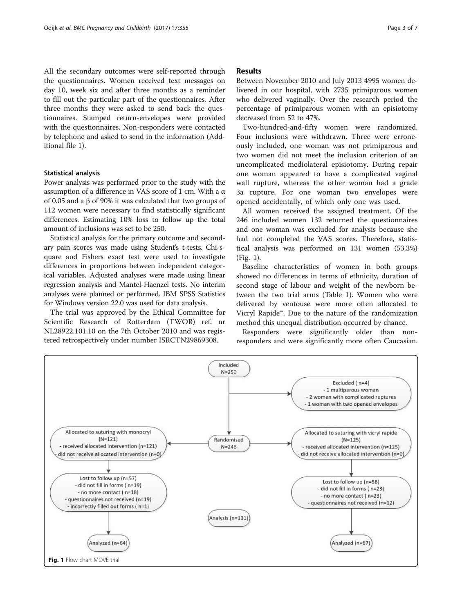All the secondary outcomes were self-reported through the questionnaires. Women received text messages on day 10, week six and after three months as a reminder to fill out the particular part of the questionnaires. After three months they were asked to send back the questionnaires. Stamped return-envelopes were provided with the questionnaires. Non-responders were contacted by telephone and asked to send in the information (Additional file [1\)](#page-5-0).

#### Statistical analysis

Power analysis was performed prior to the study with the assumption of a difference in VAS score of 1 cm. With a α of 0.05 and a β of 90% it was calculated that two groups of 112 women were necessary to find statistically significant differences. Estimating 10% loss to follow up the total amount of inclusions was set to be 250.

Statistical analysis for the primary outcome and secondary pain scores was made using Student's t-tests. Chi-square and Fishers exact test were used to investigate differences in proportions between independent categorical variables. Adjusted analyses were made using linear regression analysis and Mantel-Haenzel tests. No interim analyses were planned or performed. IBM SPSS Statistics for Windows version 22.0 was used for data analysis.

The trial was approved by the Ethical Committee for Scientific Research of Rotterdam (TWOR) ref. nr NL28922.101.10 on the 7th October 2010 and was registered retrospectively under number ISRCTN29869308.

## Results

Between November 2010 and July 2013 4995 women delivered in our hospital, with 2735 primiparous women who delivered vaginally. Over the research period the percentage of primiparous women with an episiotomy decreased from 52 to 47%.

Two-hundred-and-fifty women were randomized. Four inclusions were withdrawn. Three were erroneously included, one woman was not primiparous and two women did not meet the inclusion criterion of an uncomplicated mediolateral episiotomy. During repair one woman appeared to have a complicated vaginal wall rupture, whereas the other woman had a grade 3a rupture. For one woman two envelopes were opened accidentally, of which only one was used.

All women received the assigned treatment. Of the 246 included women 132 returned the questionnaires and one woman was excluded for analysis because she had not completed the VAS scores. Therefore, statistical analysis was performed on 131 women (53.3%) (Fig. 1).

Baseline characteristics of women in both groups showed no differences in terms of ethnicity, duration of second stage of labour and weight of the newborn between the two trial arms (Table [1](#page-3-0)). Women who were delivered by ventouse were more often allocated to Vicryl Rapide™. Due to the nature of the randomization method this unequal distribution occurred by chance.

Responders were significantly older than nonresponders and were significantly more often Caucasian.

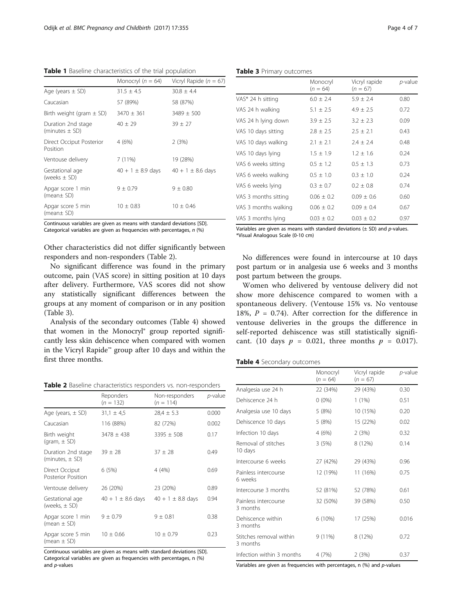<span id="page-3-0"></span>Table 1 Baseline characteristics of the trial population

|                                          | Monocryl ( $n = 64$ ) | Vicryl Rapide ( $n = 67$ ) |
|------------------------------------------|-----------------------|----------------------------|
| Age (years $\pm$ SD)                     | $31.5 \pm 4.5$        | $30.8 + 4.4$               |
| Caucasian                                | 57 (89%)              | 58 (87%)                   |
| Birth weight (gram $\pm$ SD)             | $3470 \pm 361$        | $3489 \pm 500$             |
| Duration 2nd stage<br>(minutes $\pm$ SD) | $40 \pm 29$           | $39 \pm 27$                |
| Direct Occiput Posterior<br>Position     | 4(6%)                 | 2(3%)                      |
| Ventouse delivery                        | 7(11%)                | 19 (28%)                   |
| Gestational age<br>(weeks $\pm$ SD)      | $40 + 1 \pm 8.9$ days | $40 + 1 \pm 8.6$ days      |
| Apgar score 1 min<br>(mean± SD)          | $9 + 0.79$            | $9 \pm 0.80$               |
| Apgar score 5 min<br>(mean± SD)          | $10 \pm 0.83$         | $10 \pm 0.46$              |

Continuous variables are given as means with standard deviations [SD]. Categorical variables are given as frequencies with percentages, n (%)

Other characteristics did not differ significantly between responders and non-responders (Table 2).

No significant difference was found in the primary outcome, pain (VAS score) in sitting position at 10 days after delivery. Furthermore, VAS scores did not show any statistically significant differences between the groups at any moment of comparison or in any position (Table 3).

Analysis of the secondary outcomes (Table 4) showed that women in the Monocryl® group reported significantly less skin dehiscence when compared with women in the Vicryl Rapide™ group after 10 days and within the first three months.

Table 2 Baseline characteristics responders vs. non-responders

|                                           | Reponders<br>$(n = 132)$ | Non-responders<br>$(n = 114)$ | p-value |
|-------------------------------------------|--------------------------|-------------------------------|---------|
| Age (years, $\pm$ SD)                     | $31,1 \pm 4,5$           | $28,4 \pm 5.3$                | 0.000   |
| Caucasian                                 | 116 (88%)                | 82 (72%)                      | 0.002   |
| Birth weight<br>(gram, $\pm$ SD)          | $3478 \pm 438$           | $3395 \pm 508$                | 0.17    |
| Duration 2nd stage<br>(minutes, $\pm$ SD) | $39 \pm 28$              | $37 \pm 28$                   | 0.49    |
| Direct Occiput<br>Posterior Position      | 6(5%)                    | 4(4%)                         | 0.69    |
| Ventouse delivery                         | 26 (20%)                 | 23 (20%)                      | 0.89    |
| Gestational age<br>(weeks, $\pm$ SD)      | $40 + 1 \pm 8.6$ days    | $40 + 1 \pm 8.8$ days         | 0.94    |
| Apgar score 1 min<br>(mean $\pm$ SD)      | $9 + 0.79$               | $9 \pm 0.81$                  | 0.38    |
| Apgar score 5 min<br>(mean $\pm$ SD)      | $10 \pm 0.66$            | $10 \pm 0.79$                 | 0.23    |

Continuous variables are given as means with standard deviations [SD]. Categorical variables are given as frequencies with percentages, n (%) and p-values

Monocryl  $(n = 64)$ Vicryl rapide  $(n = 67)$ VAS\* 24 h sitting  $6.0 \pm 2.4$   $5.9 \pm 2.4$  0.80 VAS 24 h walking  $5.1 \pm 2.5$   $4.9 \pm 2.5$  0.72  $VAS 24 h$  lying down  $30 + 25$   $32 + 23$  0.00

Table 3 Primary outcomes

| VAS Z4 II IVING QOWN | 3.Y ± 2.3      | 3.2 ± 2.3      | U.UY |
|----------------------|----------------|----------------|------|
| VAS 10 days sitting  | $2.8 \pm 2.5$  | $2.5 \pm 2.1$  | 0.43 |
| VAS 10 days walking  | $2.1 \pm 2.1$  | $7.4 + 7.4$    | 0.48 |
| VAS 10 days lying    | $1.5 \pm 1.9$  | $1.2 \pm 1.6$  | 0.24 |
| VAS 6 weeks sitting  | $0.5 \pm 1.2$  | $0.5 \pm 1.3$  | 0.73 |
| VAS 6 weeks walking  | $0.5 \pm 1.0$  | $0.3 \pm 1.0$  | 0.24 |
| VAS 6 weeks lying    | $0.3 \pm 0.7$  | $0.2 + 0.8$    | 0.74 |
| VAS 3 months sitting | $0.06 \pm 0.2$ | $0.09 \pm 0.6$ | 0.60 |
| VAS 3 months walking | $0.06 \pm 0.2$ | $0.09 \pm 0.4$ | 0.67 |
| VAS 3 months lying   | $0.03 \pm 0.2$ | $0.03 \pm 0.2$ | 0.97 |

Variables are given as means with standard deviations  $(\pm$  SD) and p-values. \*Visual Analogous Scale (0-10 cm)

No differences were found in intercourse at 10 days post partum or in analgesia use 6 weeks and 3 months post partum between the groups.

Women who delivered by ventouse delivery did not show more dehiscence compared to women with a spontaneous delivery. (Ventouse 15% vs. No ventouse 18%,  $P = 0.74$ ). After correction for the difference in ventouse deliveries in the groups the difference in self-reported dehiscence was still statistically significant. (10 days  $p = 0.021$ , three months  $p = 0.017$ ).

#### Table 4 Secondary outcomes

|                                     | Monocryl<br>$(n = 64)$ | Vicryl rapide<br>$(n = 67)$ | <i>p</i> -value |
|-------------------------------------|------------------------|-----------------------------|-----------------|
| Analgesia use 24 h                  | 22 (34%)               | 29 (43%)                    | 0.30            |
| Dehiscence 24 h                     | $0(0\%)$               | $1(1\%)$                    | 0.51            |
| Analgesia use 10 days               | 5 (8%)                 | 10 (15%)                    | 0.20            |
| Dehiscence 10 days                  | 5 (8%)                 | 15 (22%)                    | 0.02            |
| Infection 10 days                   | 4 (6%)                 | 2(3%)                       | 0.32            |
| Removal of stitches<br>10 days      | 3(5%)                  | 8 (12%)                     | 0.14            |
| Intercourse 6 weeks                 | 27 (42%)               | 29 (43%)                    | 0.96            |
| Painless intercourse<br>6 weeks     | 12 (19%)               | 11 (16%)                    | 0.75            |
| Intercourse 3 months                | 52 (81%)               | 52 (78%)                    | 0.61            |
| Painless intercourse<br>3 months    | 32 (50%)               | 39 (58%)                    | 0.50            |
| Dehiscence within<br>3 months       | 6 (10%)                | 17 (25%)                    | 0.016           |
| Stitches removal within<br>3 months | 9 (11%)                | 8 (12%)                     | 0.72            |
| Infection within 3 months           | 4 (7%)                 | 2(3%)                       | 0.37            |

Variables are given as frequencies with percentages, n (%) and p-values

p-value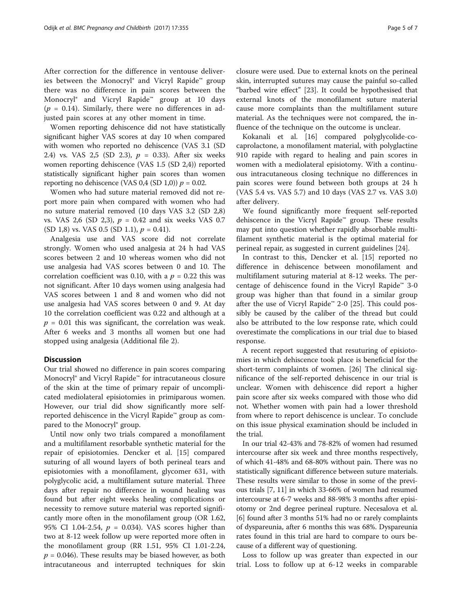After correction for the difference in ventouse deliveries between the Monocryl® and Vicryl Rapide™ group there was no difference in pain scores between the Monocryl® and Vicryl Rapide™ group at 10 days  $(p = 0.14)$ . Similarly, there were no differences in adjusted pain scores at any other moment in time.

Women reporting dehiscence did not have statistically significant higher VAS scores at day 10 when compared with women who reported no dehiscence (VAS 3.1 (SD 2.4) vs. VAS 2,5 (SD 2.3),  $p = 0.33$ ). After six weeks women reporting dehiscence (VAS 1.5 (SD 2,4)) reported statistically significant higher pain scores than women reporting no dehiscence (VAS 0,4 (SD 1,0))  $p = 0.02$ .

Women who had suture material removed did not report more pain when compared with women who had no suture material removed (10 days VAS 3.2 (SD 2,8) vs. VAS 2,6 (SD 2,3),  $p = 0.42$  and six weeks VAS 0.7  $(SD 1,8)$  vs. VAS 0.5  $(SD 1.1)$ ,  $p = 0.41$ .

Analgesia use and VAS score did not correlate strongly. Women who used analgesia at 24 h had VAS scores between 2 and 10 whereas women who did not use analgesia had VAS scores between 0 and 10. The correlation coefficient was 0.10, with a  $p = 0.22$  this was not significant. After 10 days women using analgesia had VAS scores between 1 and 8 and women who did not use analgesia had VAS scores between 0 and 9. At day 10 the correlation coefficient was 0.22 and although at a  $p = 0.01$  this was significant, the correlation was weak. After 6 weeks and 3 months all women but one had stopped using analgesia (Additional file [2\)](#page-5-0).

## **Discussion**

Our trial showed no difference in pain scores comparing Monocryl® and Vicryl Rapide™ for intracutaneous closure of the skin at the time of primary repair of uncomplicated mediolateral episiotomies in primiparous women. However, our trial did show significantly more selfreported dehiscence in the Vicryl Rapide™ group as compared to the Monocryl® group.

Until now only two trials compared a monofilament and a multifilament resorbable synthetic material for the repair of episiotomies. Dencker et al. [\[15\]](#page-6-0) compared suturing of all wound layers of both perineal tears and episiotomies with a monofilament, glycomer 631, with polyglycolic acid, a multifilament suture material. Three days after repair no difference in wound healing was found but after eight weeks healing complications or necessity to remove suture material was reported significantly more often in the monofilament group (OR 1.62, 95% CI 1.04-2.54,  $p = 0.034$ ). VAS scores higher than two at 8-12 week follow up were reported more often in the monofilament group (RR 1.51, 95% CI 1.01-2.24,  $p = 0.046$ ). These results may be biased however, as both intracutaneous and interrupted techniques for skin

closure were used. Due to external knots on the perineal skin, interrupted sutures may cause the painful so-called "barbed wire effect" [\[23\]](#page-6-0). It could be hypothesised that external knots of the monofilament suture material cause more complaints than the multifilament suture material. As the techniques were not compared, the influence of the technique on the outcome is unclear.

Kokanali et al. [\[16](#page-6-0)] compared polyglycolide-cocaprolactone, a monofilament material, with polyglactine 910 rapide with regard to healing and pain scores in women with a mediolateral episiotomy. With a continuous intracutaneous closing technique no differences in pain scores were found between both groups at 24 h (VAS 5.4 vs. VAS 5.7) and 10 days (VAS 2.7 vs. VAS 3.0) after delivery.

We found significantly more frequent self-reported dehiscence in the Vicryl Rapide™ group. These results may put into question whether rapidly absorbable multifilament synthetic material is the optimal material for perineal repair, as suggested in current guidelines [\[24\]](#page-6-0).

In contrast to this, Dencker et al. [[15\]](#page-6-0) reported no difference in dehiscence between monofilament and multifilament suturing material at 8-12 weeks. The percentage of dehiscence found in the Vicryl Rapide™ 3-0 group was higher than that found in a similar group after the use of Vicryl Rapide™ 2-0 [[25\]](#page-6-0). This could possibly be caused by the caliber of the thread but could also be attributed to the low response rate, which could overestimate the complications in our trial due to biased response.

A recent report suggested that resuturing of episiotomies in which dehiscence took place is beneficial for the short-term complaints of women. [\[26](#page-6-0)] The clinical significance of the self-reported dehiscence in our trial is unclear. Women with dehiscence did report a higher pain score after six weeks compared with those who did not. Whether women with pain had a lower threshold from where to report dehiscence is unclear. To conclude on this issue physical examination should be included in the trial.

In our trial 42-43% and 78-82% of women had resumed intercourse after six week and three months respectively, of which 41-48% and 68-80% without pain. There was no statistically significant difference between suture materials. These results were similar to those in some of the previous trials [\[7](#page-6-0), [11\]](#page-6-0) in which 33-66% of women had resumed intercourse at 6-7 weeks and 88-98% 3 months after episiotomy or 2nd degree perineal rupture. Necesalova et al. [[6\]](#page-6-0) found after 3 months 51% had no or rarely complaints of dyspareunia, after 6 months this was 68%. Dyspareunia rates found in this trial are hard to compare to ours because of a different way of questioning.

Loss to follow up was greater than expected in our trial. Loss to follow up at 6-12 weeks in comparable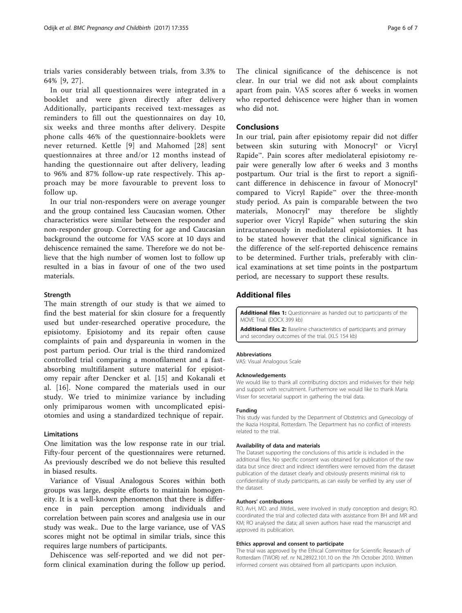<span id="page-5-0"></span>trials varies considerably between trials, from 3.3% to 64% [[9, 27\]](#page-6-0).

In our trial all questionnaires were integrated in a booklet and were given directly after delivery Additionally, participants received text-messages as reminders to fill out the questionnaires on day 10, six weeks and three months after delivery. Despite phone calls 46% of the questionnaire-booklets were never returned. Kettle [[9\]](#page-6-0) and Mahomed [[28\]](#page-6-0) sent questionnaires at three and/or 12 months instead of handing the questionnaire out after delivery, leading to 96% and 87% follow-up rate respectively. This approach may be more favourable to prevent loss to follow up.

In our trial non-responders were on average younger and the group contained less Caucasian women. Other characteristics were similar between the responder and non-responder group. Correcting for age and Caucasian background the outcome for VAS score at 10 days and dehiscence remained the same. Therefore we do not believe that the high number of women lost to follow up resulted in a bias in favour of one of the two used materials.

## **Strength**

The main strength of our study is that we aimed to find the best material for skin closure for a frequently used but under-researched operative procedure, the episiotomy. Episiotomy and its repair often cause complaints of pain and dyspareunia in women in the post partum period. Our trial is the third randomized controlled trial comparing a monofilament and a fastabsorbing multifilament suture material for episiotomy repair after Dencker et al. [[15\]](#page-6-0) and Kokanali et al. [\[16](#page-6-0)]. None compared the materials used in our study. We tried to minimize variance by including only primiparous women with uncomplicated episiotomies and using a standardized technique of repair.

## Limitations

One limitation was the low response rate in our trial. Fifty-four percent of the questionnaires were returned. As previously described we do not believe this resulted in biased results.

Variance of Visual Analogous Scores within both groups was large, despite efforts to maintain homogeneity. It is a well-known phenomenon that there is difference in pain perception among individuals and correlation between pain scores and analgesia use in our study was weak.. Due to the large variance, use of VAS scores might not be optimal in similar trials, since this requires large numbers of participants.

Dehiscence was self-reported and we did not perform clinical examination during the follow up period.

The clinical significance of the dehiscence is not clear. In our trial we did not ask about complaints apart from pain. VAS scores after 6 weeks in women who reported dehiscence were higher than in women who did not.

## Conclusions

In our trial, pain after episiotomy repair did not differ between skin suturing with Monocryl® or Vicryl Rapide™. Pain scores after mediolateral episiotomy repair were generally low after 6 weeks and 3 months postpartum. Our trial is the first to report a significant difference in dehiscence in favour of Monocryl® compared to Vicryl Rapide™ over the three-month study period. As pain is comparable between the two materials, Monocryl® may therefore be slightly superior over Vicryl Rapide™ when suturing the skin intracutaneously in mediolateral episiotomies. It has to be stated however that the clinical significance in the difference of the self-reported dehiscence remains to be determined. Further trials, preferably with clinical examinations at set time points in the postpartum period, are necessary to support these results.

## Additional files

[Additional files 1:](dx.doi.org/10.1186/s12884-017-1545-8) Questionnaire as handed out to participants of the MOVE Trial. (DOCX 399 kb)

[Additional files 2:](dx.doi.org/10.1186/s12884-017-1545-8) Baseline characteristics of participants and primary and secondary outcomes of the trial. (XLS 154 kb)

#### Abbreviations

VAS: Visual Analogous Scale

#### Acknowledgements

We would like to thank all contributing doctors and midwives for their help and support with recruitment. Furthermore we would like to thank Maria Visser for secretarial support in gathering the trial data.

#### Funding

This study was funded by the Department of Obstetrics and Gynecology of the Ikazia Hospital, Rotterdam. The Department has no conflict of interests related to the trial.

#### Availability of data and materials

The Dataset supporting the conclusions of this article is included in the additional files. No specific consent was obtained for publication of the raw data but since direct and indirect identifiers were removed from the dataset publication of the dataset clearly and obviously presents minimal risk to confidentiality of study participants, as can easily be verified by any user of the dataset.

#### Authors' contributions

RO, AvH, MD. and JWdeL. were involved in study conception and design; RO. coordinated the trial and collected data with assistance from BH and MR and KM; RO analysed the data; all seven authors have read the manuscript and approved its publication.

#### Ethics approval and consent to participate

The trial was approved by the Ethical Committee for Scientific Research of Rotterdam (TWOR) ref. nr NL28922.101.10 on the 7th October 2010. Written informed consent was obtained from all participants upon inclusion.